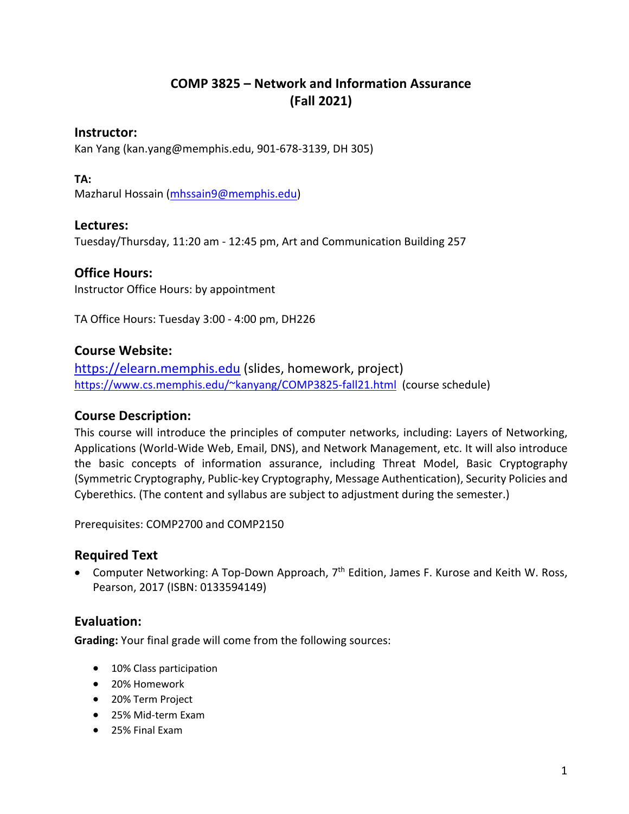# **COMP 3825 – Network and Information Assurance (Fall 2021)**

### **Instructor:**

Kan Yang (kan.yang@memphis.edu, 901-678-3139, DH 305)

#### **TA:**

Mazharul Hossain (mhssain9@memphis.edu)

### **Lectures:**

Tuesday/Thursday, 11:20 am - 12:45 pm, Art and Communication Building 257

### **Office Hours:**

Instructor Office Hours: by appointment

TA Office Hours: Tuesday 3:00 - 4:00 pm, DH226

#### **Course Website:**

https://elearn.memphis.edu (slides, homework, project) https://www.cs.memphis.edu/~kanyang/COMP3825-fall21.html (course schedule)

#### **Course Description:**

This course will introduce the principles of computer networks, including: Layers of Networking, Applications (World-Wide Web, Email, DNS), and Network Management, etc. It will also introduce the basic concepts of information assurance, including Threat Model, Basic Cryptography (Symmetric Cryptography, Public-key Cryptography, Message Authentication), Security Policies and Cyberethics. (The content and syllabus are subject to adjustment during the semester.)

Prerequisites: COMP2700 and COMP2150

## **Required Text**

• Computer Networking: A Top-Down Approach, 7<sup>th</sup> Edition, James F. Kurose and Keith W. Ross, Pearson, 2017 (ISBN: 0133594149)

## **Evaluation:**

**Grading:** Your final grade will come from the following sources:

- 10% Class participation
- 20% Homework
- 20% Term Project
- 25% Mid-term Exam
- 25% Final Exam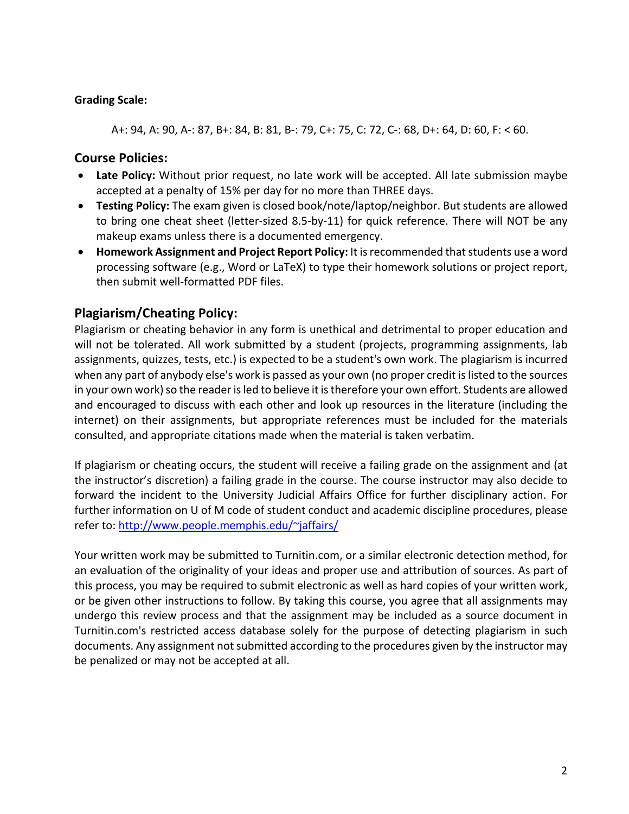#### **Grading Scale:**

A+: 94, A: 90, A-: 87, B+: 84, B: 81, B-: 79, C+: 75, C: 72, C-: 68, D+: 64, D: 60, F: < 60.

## **Course Policies:**

- **Late Policy:** Without prior request, no late work will be accepted. All late submission maybe accepted at a penalty of 15% per day for no more than THREE days.
- **Testing Policy:** The exam given is closed book/note/laptop/neighbor. But students are allowed to bring one cheat sheet (letter-sized 8.5-by-11) for quick reference. There will NOT be any makeup exams unless there is a documented emergency.
- **Homework Assignment and Project Report Policy:** It is recommended that students use a word processing software (e.g., Word or LaTeX) to type their homework solutions or project report, then submit well-formatted PDF files.

# **Plagiarism/Cheating Policy:**

Plagiarism or cheating behavior in any form is unethical and detrimental to proper education and will not be tolerated. All work submitted by a student (projects, programming assignments, lab assignments, quizzes, tests, etc.) is expected to be a student's own work. The plagiarism is incurred when any part of anybody else's work is passed as your own (no proper credit is listed to the sources in your own work) so the reader is led to believe it is therefore your own effort. Students are allowed and encouraged to discuss with each other and look up resources in the literature (including the internet) on their assignments, but appropriate references must be included for the materials consulted, and appropriate citations made when the material is taken verbatim.

If plagiarism or cheating occurs, the student will receive a failing grade on the assignment and (at the instructor's discretion) a failing grade in the course. The course instructor may also decide to forward the incident to the University Judicial Affairs Office for further disciplinary action. For further information on U of M code of student conduct and academic discipline procedures, please refer to: http://www.people.memphis.edu/~jaffairs/

Your written work may be submitted to Turnitin.com, or a similar electronic detection method, for an evaluation of the originality of your ideas and proper use and attribution of sources. As part of this process, you may be required to submit electronic as well as hard copies of your written work, or be given other instructions to follow. By taking this course, you agree that all assignments may undergo this review process and that the assignment may be included as a source document in Turnitin.com's restricted access database solely for the purpose of detecting plagiarism in such documents. Any assignment not submitted according to the procedures given by the instructor may be penalized or may not be accepted at all.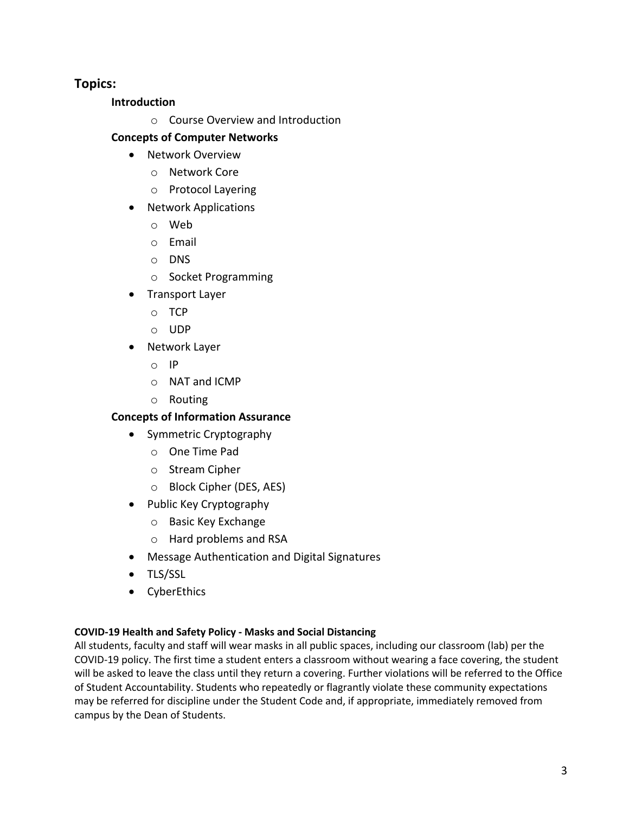## **Topics:**

#### **Introduction**

o Course Overview and Introduction

## **Concepts of Computer Networks**

- Network Overview
	- o Network Core
	- o Protocol Layering
- Network Applications
	- o Web
	- o Email
	- o DNS
	- o Socket Programming
- Transport Layer
	- o TCP
	- o UDP
- Network Layer
	- o IP
	- o NAT and ICMP
	- o Routing

## **Concepts of Information Assurance**

- Symmetric Cryptography
	- o One Time Pad
	- o Stream Cipher
	- o Block Cipher (DES, AES)
- Public Key Cryptography
	- o Basic Key Exchange
	- o Hard problems and RSA
- Message Authentication and Digital Signatures
- TLS/SSL
- CyberEthics

#### **COVID-19 Health and Safety Policy - Masks and Social Distancing**

All students, faculty and staff will wear masks in all public spaces, including our classroom (lab) per the COVID-19 policy. The first time a student enters a classroom without wearing a face covering, the student will be asked to leave the class until they return a covering. Further violations will be referred to the Office of Student Accountability. Students who repeatedly or flagrantly violate these community expectations may be referred for discipline under the Student Code and, if appropriate, immediately removed from campus by the Dean of Students.